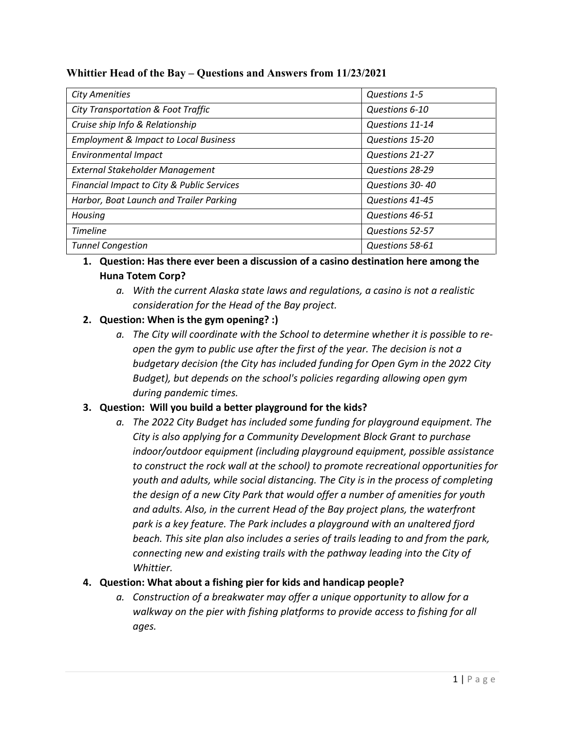| <b>City Amenities</b>                            | Questions 1-5   |
|--------------------------------------------------|-----------------|
| <b>City Transportation &amp; Foot Traffic</b>    | Questions 6-10  |
| Cruise ship Info & Relationship                  | Questions 11-14 |
| <b>Employment &amp; Impact to Local Business</b> | Questions 15-20 |
| <b>Environmental Impact</b>                      | Questions 21-27 |
| External Stakeholder Management                  | Questions 28-29 |
| Financial Impact to City & Public Services       | Questions 30-40 |
| Harbor, Boat Launch and Trailer Parking          | Questions 41-45 |
| Housing                                          | Questions 46-51 |
| <b>Timeline</b>                                  | Questions 52-57 |
| <b>Tunnel Congestion</b>                         | Questions 58-61 |

## **Whittier Head of the Bay – Questions and Answers from 11/23/2021**

## **1. Question: Has there ever been a discussion of a casino destination here among the Huna Totem Corp?**

*a. With the current Alaska state laws and regulations, a casino is not a realistic consideration for the Head of the Bay project.*

# **2. Question: When is the gym opening? :)**

*a. The City will coordinate with the School to determine whether it is possible to reopen the gym to public use after the first of the year. The decision is not a budgetary decision (the City has included funding for Open Gym in the 2022 City Budget), but depends on the school's policies regarding allowing open gym during pandemic times.*

### **3. Question: Will you build a better playground for the kids?**

*a. The 2022 City Budget has included some funding for playground equipment. The City is also applying for a Community Development Block Grant to purchase indoor/outdoor equipment (including playground equipment, possible assistance to construct the rock wall at the school) to promote recreational opportunities for youth and adults, while social distancing. The City is in the process of completing the design of a new City Park that would offer a number of amenities for youth and adults. Also, in the current Head of the Bay project plans, the waterfront park is a key feature. The Park includes a playground with an unaltered fjord beach. This site plan also includes a series of trails leading to and from the park, connecting new and existing trails with the pathway leading into the City of Whittier.*

### **4. Question: What about a fishing pier for kids and handicap people?**

*a. Construction of a breakwater may offer a unique opportunity to allow for a walkway on the pier with fishing platforms to provide access to fishing for all ages.*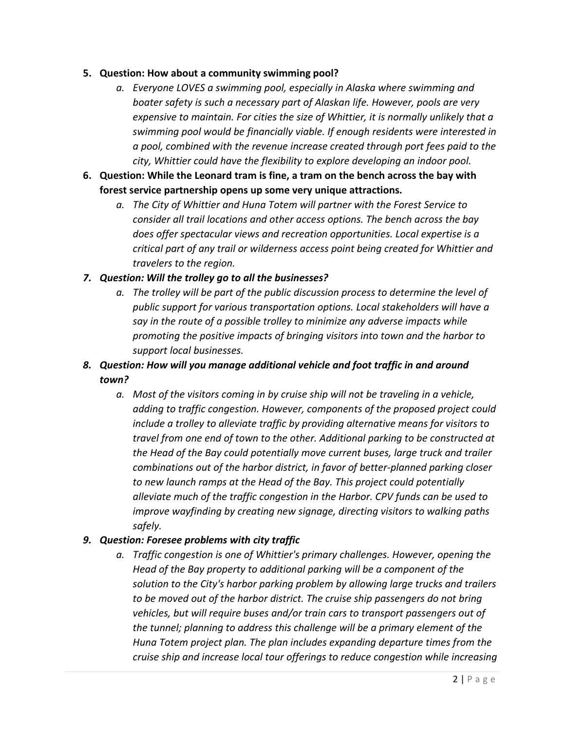#### **5. Question: How about a community swimming pool?**

- *a. Everyone LOVES a swimming pool, especially in Alaska where swimming and boater safety is such a necessary part of Alaskan life. However, pools are very expensive to maintain. For cities the size of Whittier, it is normally unlikely that a swimming pool would be financially viable. If enough residents were interested in a pool, combined with the revenue increase created through port fees paid to the city, Whittier could have the flexibility to explore developing an indoor pool.*
- **6. Question: While the Leonard tram is fine, a tram on the bench across the bay with forest service partnership opens up some very unique attractions.**
	- *a. The City of Whittier and Huna Totem will partner with the Forest Service to consider all trail locations and other access options. The bench across the bay does offer spectacular views and recreation opportunities. Local expertise is a critical part of any trail or wilderness access point being created for Whittier and travelers to the region.*

### *7. Question: Will the trolley go to all the businesses?*

*a. The trolley will be part of the public discussion process to determine the level of public support for various transportation options. Local stakeholders will have a say in the route of a possible trolley to minimize any adverse impacts while promoting the positive impacts of bringing visitors into town and the harbor to support local businesses.*

# *8. Question: How will you manage additional vehicle and foot traffic in and around town?*

*a. Most of the visitors coming in by cruise ship will not be traveling in a vehicle, adding to traffic congestion. However, components of the proposed project could include a trolley to alleviate traffic by providing alternative means for visitors to travel from one end of town to the other. Additional parking to be constructed at the Head of the Bay could potentially move current buses, large truck and trailer combinations out of the harbor district, in favor of better-planned parking closer to new launch ramps at the Head of the Bay. This project could potentially alleviate much of the traffic congestion in the Harbor. CPV funds can be used to improve wayfinding by creating new signage, directing visitors to walking paths safely.*

### *9. Question: Foresee problems with city traffic*

*a. Traffic congestion is one of Whittier's primary challenges. However, opening the Head of the Bay property to additional parking will be a component of the solution to the City's harbor parking problem by allowing large trucks and trailers*  to be moved out of the harbor district. The cruise ship passengers do not bring *vehicles, but will require buses and/or train cars to transport passengers out of the tunnel; planning to address this challenge will be a primary element of the Huna Totem project plan. The plan includes expanding departure times from the cruise ship and increase local tour offerings to reduce congestion while increasing*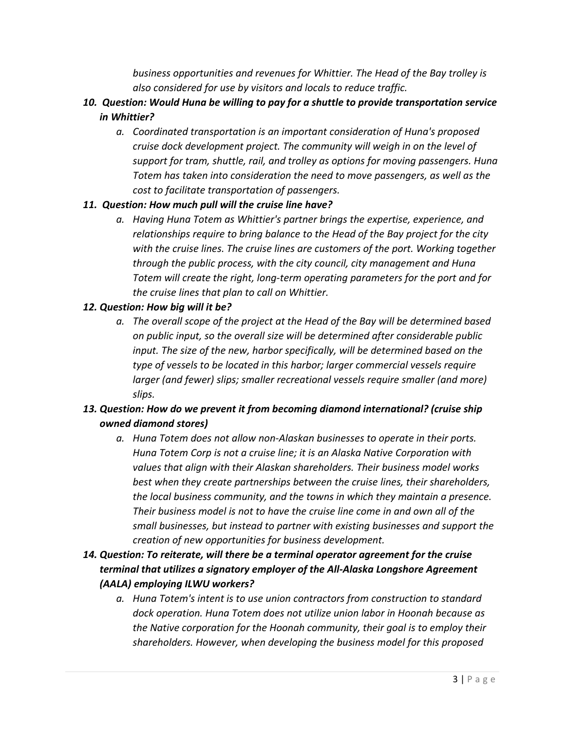*business opportunities and revenues for Whittier. The Head of the Bay trolley is also considered for use by visitors and locals to reduce traffic.*

- *10. Question: Would Huna be willing to pay for a shuttle to provide transportation service in Whittier?*
	- *a. Coordinated transportation is an important consideration of Huna's proposed cruise dock development project. The community will weigh in on the level of support for tram, shuttle, rail, and trolley as options for moving passengers. Huna Totem has taken into consideration the need to move passengers, as well as the cost to facilitate transportation of passengers.*

## *11. Question: How much pull will the cruise line have?*

*a. Having Huna Totem as Whittier's partner brings the expertise, experience, and relationships require to bring balance to the Head of the Bay project for the city with the cruise lines. The cruise lines are customers of the port. Working together through the public process, with the city council, city management and Huna Totem will create the right, long-term operating parameters for the port and for the cruise lines that plan to call on Whittier.*

## *12. Question: How big will it be?*

*a. The overall scope of the project at the Head of the Bay will be determined based on public input, so the overall size will be determined after considerable public input. The size of the new, harbor specifically, will be determined based on the type of vessels to be located in this harbor; larger commercial vessels require larger (and fewer) slips; smaller recreational vessels require smaller (and more) slips.*

# *13. Question: How do we prevent it from becoming diamond international? (cruise ship owned diamond stores)*

- *a. Huna Totem does not allow non-Alaskan businesses to operate in their ports. Huna Totem Corp is not a cruise line; it is an Alaska Native Corporation with values that align with their Alaskan shareholders. Their business model works best when they create partnerships between the cruise lines, their shareholders, the local business community, and the towns in which they maintain a presence. Their business model is not to have the cruise line come in and own all of the small businesses, but instead to partner with existing businesses and support the creation of new opportunities for business development.*
- *14. Question: To reiterate, will there be a terminal operator agreement for the cruise terminal that utilizes a signatory employer of the All-Alaska Longshore Agreement (AALA) employing ILWU workers?*
	- *a. Huna Totem's intent is to use union contractors from construction to standard dock operation. Huna Totem does not utilize union labor in Hoonah because as the Native corporation for the Hoonah community, their goal is to employ their shareholders. However, when developing the business model for this proposed*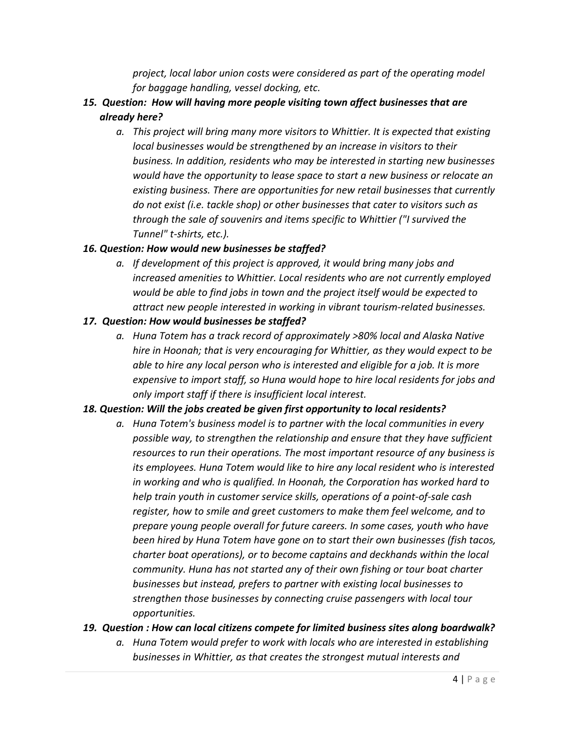*project, local labor union costs were considered as part of the operating model for baggage handling, vessel docking, etc.*

- *15. Question: How will having more people visiting town affect businesses that are already here?*
	- *a. This project will bring many more visitors to Whittier. It is expected that existing local businesses would be strengthened by an increase in visitors to their business. In addition, residents who may be interested in starting new businesses would have the opportunity to lease space to start a new business or relocate an existing business. There are opportunities for new retail businesses that currently do not exist (i.e. tackle shop) or other businesses that cater to visitors such as through the sale of souvenirs and items specific to Whittier ("I survived the Tunnel" t-shirts, etc.).*

### *16. Question: How would new businesses be staffed?*

*a. If development of this project is approved, it would bring many jobs and increased amenities to Whittier. Local residents who are not currently employed would be able to find jobs in town and the project itself would be expected to attract new people interested in working in vibrant tourism-related businesses.*

### *17. Question: How would businesses be staffed?*

*a. Huna Totem has a track record of approximately >80% local and Alaska Native hire in Hoonah; that is very encouraging for Whittier, as they would expect to be able to hire any local person who is interested and eligible for a job. It is more expensive to import staff, so Huna would hope to hire local residents for jobs and only import staff if there is insufficient local interest.*

### *18. Question: Will the jobs created be given first opportunity to local residents?*

*a. Huna Totem's business model is to partner with the local communities in every possible way, to strengthen the relationship and ensure that they have sufficient resources to run their operations. The most important resource of any business is its employees. Huna Totem would like to hire any local resident who is interested in working and who is qualified. In Hoonah, the Corporation has worked hard to help train youth in customer service skills, operations of a point-of-sale cash register, how to smile and greet customers to make them feel welcome, and to prepare young people overall for future careers. In some cases, youth who have been hired by Huna Totem have gone on to start their own businesses (fish tacos, charter boat operations), or to become captains and deckhands within the local community. Huna has not started any of their own fishing or tour boat charter businesses but instead, prefers to partner with existing local businesses to strengthen those businesses by connecting cruise passengers with local tour opportunities.*

### *19. Question : How can local citizens compete for limited business sites along boardwalk?*

*a. Huna Totem would prefer to work with locals who are interested in establishing businesses in Whittier, as that creates the strongest mutual interests and*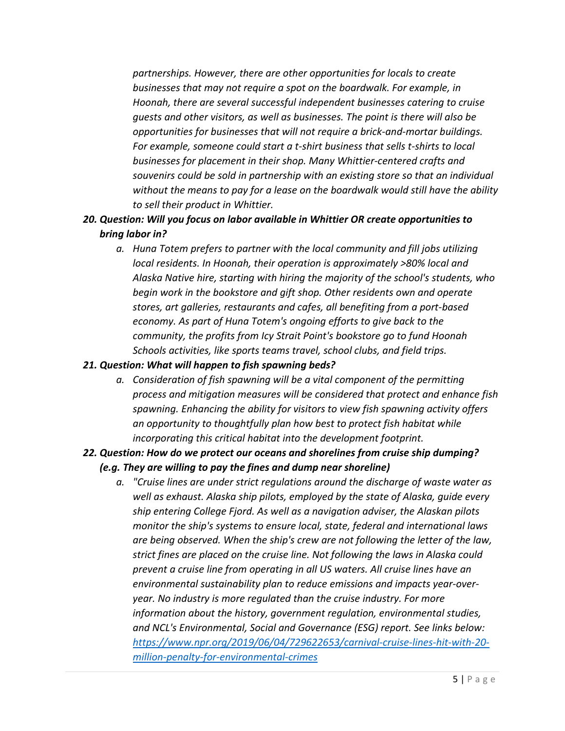*partnerships. However, there are other opportunities for locals to create businesses that may not require a spot on the boardwalk. For example, in Hoonah, there are several successful independent businesses catering to cruise guests and other visitors, as well as businesses. The point is there will also be opportunities for businesses that will not require a brick-and-mortar buildings. For example, someone could start a t-shirt business that sells t-shirts to local businesses for placement in their shop. Many Whittier-centered crafts and souvenirs could be sold in partnership with an existing store so that an individual without the means to pay for a lease on the boardwalk would still have the ability to sell their product in Whittier.*

## *20. Question: Will you focus on labor available in Whittier OR create opportunities to bring labor in?*

*a. Huna Totem prefers to partner with the local community and fill jobs utilizing local residents. In Hoonah, their operation is approximately >80% local and Alaska Native hire, starting with hiring the majority of the school's students, who begin work in the bookstore and gift shop. Other residents own and operate stores, art galleries, restaurants and cafes, all benefiting from a port-based economy. As part of Huna Totem's ongoing efforts to give back to the community, the profits from Icy Strait Point's bookstore go to fund Hoonah Schools activities, like sports teams travel, school clubs, and field trips.*

### *21. Question: What will happen to fish spawning beds?*

*a. Consideration of fish spawning will be a vital component of the permitting process and mitigation measures will be considered that protect and enhance fish spawning. Enhancing the ability for visitors to view fish spawning activity offers an opportunity to thoughtfully plan how best to protect fish habitat while incorporating this critical habitat into the development footprint.*

# *22. Question: How do we protect our oceans and shorelines from cruise ship dumping? (e.g. They are willing to pay the fines and dump near shoreline)*

*a. "Cruise lines are under strict regulations around the discharge of waste water as well as exhaust. Alaska ship pilots, employed by the state of Alaska, guide every ship entering College Fjord. As well as a navigation adviser, the Alaskan pilots monitor the ship's systems to ensure local, state, federal and international laws are being observed. When the ship's crew are not following the letter of the law, strict fines are placed on the cruise line. Not following the laws in Alaska could prevent a cruise line from operating in all US waters. All cruise lines have an environmental sustainability plan to reduce emissions and impacts year-overyear. No industry is more regulated than the cruise industry. For more information about the history, government regulation, environmental studies, and NCL's Environmental, Social and Governance (ESG) report. See links below: [https://www.npr.org/2019/06/04/729622653/carnival-cruise-lines-hit-with-20](https://www.npr.org/2019/06/04/729622653/carnival-cruise-lines-hit-with-20-million-penalty-for-environmental-crimes) [million-penalty-for-environmental-crimes](https://www.npr.org/2019/06/04/729622653/carnival-cruise-lines-hit-with-20-million-penalty-for-environmental-crimes)*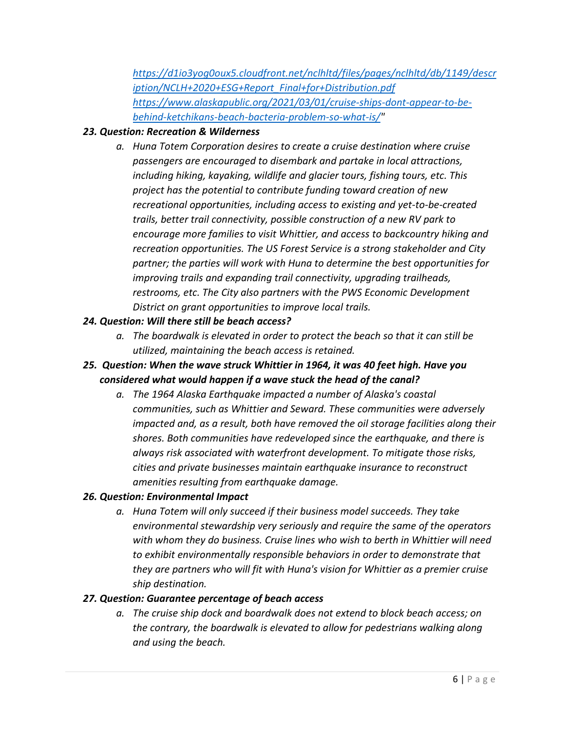*[https://d1io3yog0oux5.cloudfront.net/nclhltd/files/pages/nclhltd/db/1149/descr](https://d1io3yog0oux5.cloudfront.net/nclhltd/files/pages/nclhltd/db/1149/description/NCLH+2020+ESG+Report_Final+for+Distribution.pdf) [iption/NCLH+2020+ESG+Report\\_Final+for+Distribution.pdf](https://d1io3yog0oux5.cloudfront.net/nclhltd/files/pages/nclhltd/db/1149/description/NCLH+2020+ESG+Report_Final+for+Distribution.pdf) [https://www.alaskapublic.org/2021/03/01/cruise-ships-dont-appear-to-be](https://www.alaskapublic.org/2021/03/01/cruise-ships-dont-appear-to-be-behind-ketchikans-beach-bacteria-problem-so-what-is/)[behind-ketchikans-beach-bacteria-problem-so-what-is/"](https://www.alaskapublic.org/2021/03/01/cruise-ships-dont-appear-to-be-behind-ketchikans-beach-bacteria-problem-so-what-is/)*

## *23. Question: Recreation & Wilderness*

*a. Huna Totem Corporation desires to create a cruise destination where cruise passengers are encouraged to disembark and partake in local attractions, including hiking, kayaking, wildlife and glacier tours, fishing tours, etc. This project has the potential to contribute funding toward creation of new recreational opportunities, including access to existing and yet-to-be-created trails, better trail connectivity, possible construction of a new RV park to encourage more families to visit Whittier, and access to backcountry hiking and recreation opportunities. The US Forest Service is a strong stakeholder and City partner; the parties will work with Huna to determine the best opportunities for improving trails and expanding trail connectivity, upgrading trailheads, restrooms, etc. The City also partners with the PWS Economic Development District on grant opportunities to improve local trails.*

### *24. Question: Will there still be beach access?*

- *a. The boardwalk is elevated in order to protect the beach so that it can still be utilized, maintaining the beach access is retained.*
- *25. Question: When the wave struck Whittier in 1964, it was 40 feet high. Have you considered what would happen if a wave stuck the head of the canal?*
	- *a. The 1964 Alaska Earthquake impacted a number of Alaska's coastal communities, such as Whittier and Seward. These communities were adversely impacted and, as a result, both have removed the oil storage facilities along their shores. Both communities have redeveloped since the earthquake, and there is always risk associated with waterfront development. To mitigate those risks, cities and private businesses maintain earthquake insurance to reconstruct amenities resulting from earthquake damage.*

### *26. Question: Environmental Impact*

*a. Huna Totem will only succeed if their business model succeeds. They take environmental stewardship very seriously and require the same of the operators with whom they do business. Cruise lines who wish to berth in Whittier will need to exhibit environmentally responsible behaviors in order to demonstrate that they are partners who will fit with Huna's vision for Whittier as a premier cruise ship destination.*

### *27. Question: Guarantee percentage of beach access*

*a. The cruise ship dock and boardwalk does not extend to block beach access; on the contrary, the boardwalk is elevated to allow for pedestrians walking along and using the beach.*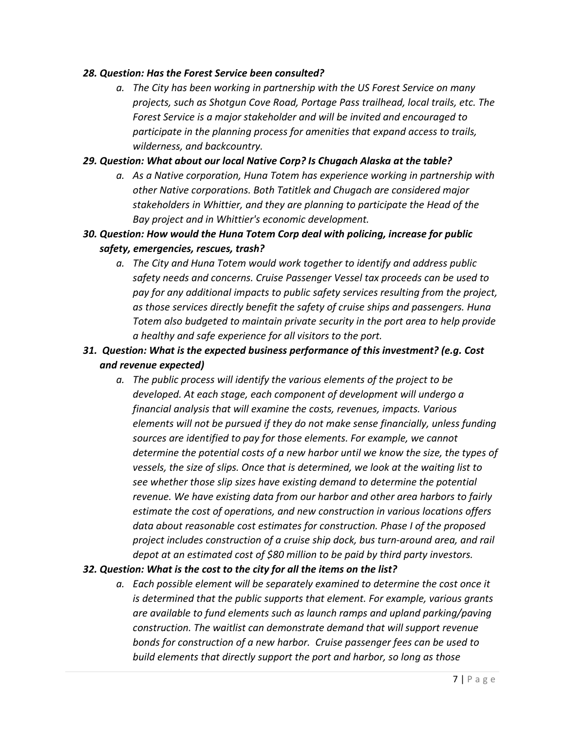#### *28. Question: Has the Forest Service been consulted?*

*a. The City has been working in partnership with the US Forest Service on many projects, such as Shotgun Cove Road, Portage Pass trailhead, local trails, etc. The Forest Service is a major stakeholder and will be invited and encouraged to participate in the planning process for amenities that expand access to trails, wilderness, and backcountry.*

## *29. Question: What about our local Native Corp? Is Chugach Alaska at the table?*

- *a. As a Native corporation, Huna Totem has experience working in partnership with other Native corporations. Both Tatitlek and Chugach are considered major stakeholders in Whittier, and they are planning to participate the Head of the Bay project and in Whittier's economic development.*
- *30. Question: How would the Huna Totem Corp deal with policing, increase for public safety, emergencies, rescues, trash?*
	- *a. The City and Huna Totem would work together to identify and address public safety needs and concerns. Cruise Passenger Vessel tax proceeds can be used to pay for any additional impacts to public safety services resulting from the project, as those services directly benefit the safety of cruise ships and passengers. Huna Totem also budgeted to maintain private security in the port area to help provide a healthy and safe experience for all visitors to the port.*
- *31. Question: What is the expected business performance of this investment? (e.g. Cost and revenue expected)*
	- *a. The public process will identify the various elements of the project to be developed. At each stage, each component of development will undergo a financial analysis that will examine the costs, revenues, impacts. Various elements will not be pursued if they do not make sense financially, unless funding sources are identified to pay for those elements. For example, we cannot determine the potential costs of a new harbor until we know the size, the types of vessels, the size of slips. Once that is determined, we look at the waiting list to see whether those slip sizes have existing demand to determine the potential revenue. We have existing data from our harbor and other area harbors to fairly estimate the cost of operations, and new construction in various locations offers data about reasonable cost estimates for construction. Phase I of the proposed project includes construction of a cruise ship dock, bus turn-around area, and rail depot at an estimated cost of \$80 million to be paid by third party investors.*

### *32. Question: What is the cost to the city for all the items on the list?*

*a. Each possible element will be separately examined to determine the cost once it is determined that the public supports that element. For example, various grants are available to fund elements such as launch ramps and upland parking/paving construction. The waitlist can demonstrate demand that will support revenue bonds for construction of a new harbor. Cruise passenger fees can be used to build elements that directly support the port and harbor, so long as those*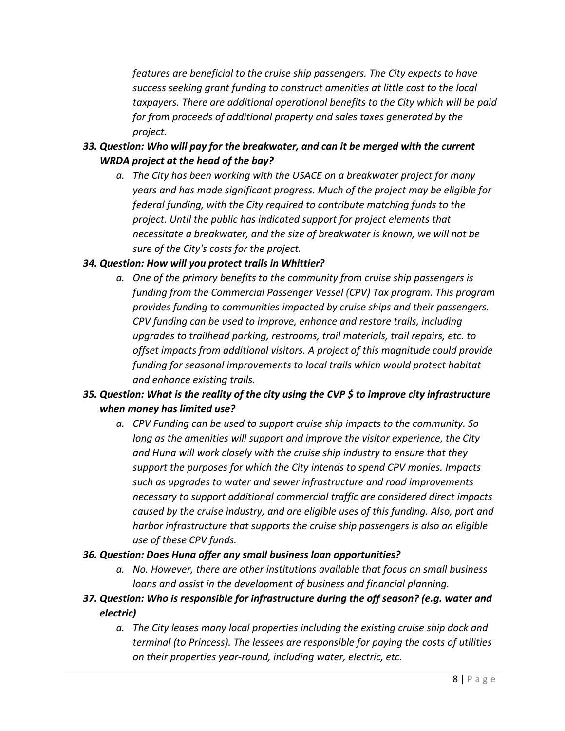*features are beneficial to the cruise ship passengers. The City expects to have success seeking grant funding to construct amenities at little cost to the local taxpayers. There are additional operational benefits to the City which will be paid for from proceeds of additional property and sales taxes generated by the project.*

- *33. Question: Who will pay for the breakwater, and can it be merged with the current WRDA project at the head of the bay?*
	- *a. The City has been working with the USACE on a breakwater project for many years and has made significant progress. Much of the project may be eligible for federal funding, with the City required to contribute matching funds to the project. Until the public has indicated support for project elements that necessitate a breakwater, and the size of breakwater is known, we will not be sure of the City's costs for the project.*

## *34. Question: How will you protect trails in Whittier?*

*a. One of the primary benefits to the community from cruise ship passengers is funding from the Commercial Passenger Vessel (CPV) Tax program. This program provides funding to communities impacted by cruise ships and their passengers. CPV funding can be used to improve, enhance and restore trails, including upgrades to trailhead parking, restrooms, trail materials, trail repairs, etc. to offset impacts from additional visitors. A project of this magnitude could provide funding for seasonal improvements to local trails which would protect habitat and enhance existing trails.*

# *35. Question: What is the reality of the city using the CVP \$ to improve city infrastructure when money has limited use?*

*a. CPV Funding can be used to support cruise ship impacts to the community. So long as the amenities will support and improve the visitor experience, the City and Huna will work closely with the cruise ship industry to ensure that they support the purposes for which the City intends to spend CPV monies. Impacts such as upgrades to water and sewer infrastructure and road improvements necessary to support additional commercial traffic are considered direct impacts caused by the cruise industry, and are eligible uses of this funding. Also, port and harbor infrastructure that supports the cruise ship passengers is also an eligible use of these CPV funds.*

### *36. Question: Does Huna offer any small business loan opportunities?*

- *a. No. However, there are other institutions available that focus on small business loans and assist in the development of business and financial planning.*
- *37. Question: Who is responsible for infrastructure during the off season? (e.g. water and electric)*
	- *a. The City leases many local properties including the existing cruise ship dock and terminal (to Princess). The lessees are responsible for paying the costs of utilities on their properties year-round, including water, electric, etc.*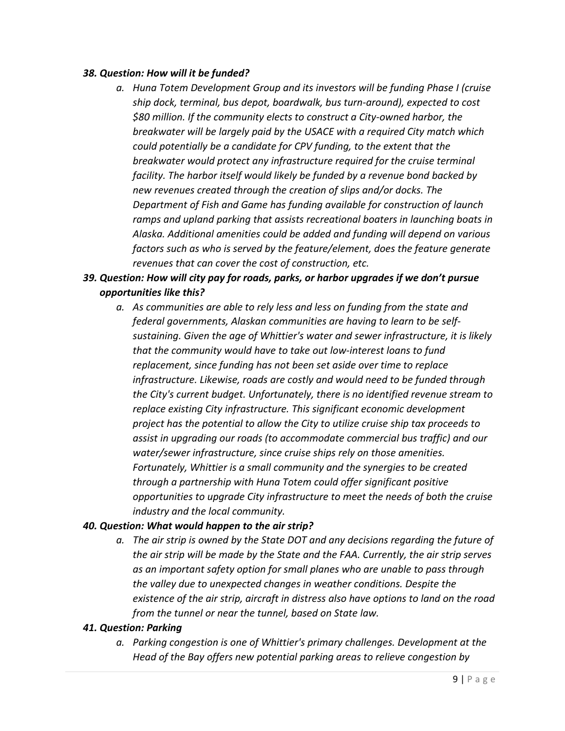#### *38. Question: How will it be funded?*

*a. Huna Totem Development Group and its investors will be funding Phase I (cruise ship dock, terminal, bus depot, boardwalk, bus turn-around), expected to cost \$80 million. If the community elects to construct a City-owned harbor, the breakwater will be largely paid by the USACE with a required City match which could potentially be a candidate for CPV funding, to the extent that the breakwater would protect any infrastructure required for the cruise terminal facility. The harbor itself would likely be funded by a revenue bond backed by new revenues created through the creation of slips and/or docks. The Department of Fish and Game has funding available for construction of launch ramps and upland parking that assists recreational boaters in launching boats in Alaska. Additional amenities could be added and funding will depend on various factors such as who is served by the feature/element, does the feature generate revenues that can cover the cost of construction, etc.*

# *39. Question: How will city pay for roads, parks, or harbor upgrades if we don't pursue opportunities like this?*

*a. As communities are able to rely less and less on funding from the state and federal governments, Alaskan communities are having to learn to be selfsustaining. Given the age of Whittier's water and sewer infrastructure, it is likely that the community would have to take out low-interest loans to fund replacement, since funding has not been set aside over time to replace infrastructure. Likewise, roads are costly and would need to be funded through the City's current budget. Unfortunately, there is no identified revenue stream to replace existing City infrastructure. This significant economic development project has the potential to allow the City to utilize cruise ship tax proceeds to assist in upgrading our roads (to accommodate commercial bus traffic) and our water/sewer infrastructure, since cruise ships rely on those amenities. Fortunately, Whittier is a small community and the synergies to be created through a partnership with Huna Totem could offer significant positive opportunities to upgrade City infrastructure to meet the needs of both the cruise industry and the local community.*

### *40. Question: What would happen to the air strip?*

*a. The air strip is owned by the State DOT and any decisions regarding the future of the air strip will be made by the State and the FAA. Currently, the air strip serves as an important safety option for small planes who are unable to pass through the valley due to unexpected changes in weather conditions. Despite the existence of the air strip, aircraft in distress also have options to land on the road from the tunnel or near the tunnel, based on State law.*

#### *41. Question: Parking*

*a. Parking congestion is one of Whittier's primary challenges. Development at the Head of the Bay offers new potential parking areas to relieve congestion by*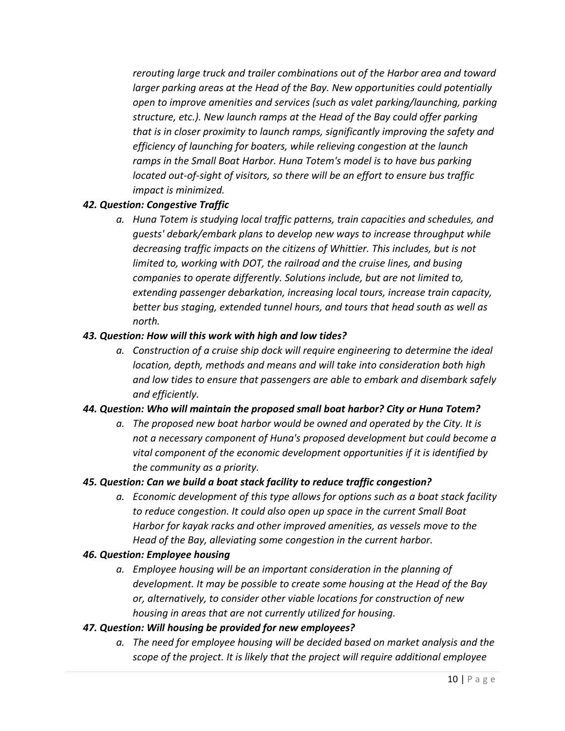*rerouting large truck and trailer combinations out of the Harbor area and toward larger parking areas at the Head of the Bay. New opportunities could potentially open to improve amenities and services (such as valet parking/launching, parking structure, etc.). New launch ramps at the Head of the Bay could offer parking that is in closer proximity to launch ramps, significantly improving the safety and efficiency of launching for boaters, while relieving congestion at the launch ramps in the Small Boat Harbor. Huna Totem's model is to have bus parking located out-of-sight of visitors, so there will be an effort to ensure bus traffic impact is minimized.*

## *42. Question: Congestive Traffic*

*a. Huna Totem is studying local traffic patterns, train capacities and schedules, and guests' debark/embark plans to develop new ways to increase throughput while decreasing traffic impacts on the citizens of Whittier. This includes, but is not limited to, working with DOT, the railroad and the cruise lines, and busing companies to operate differently. Solutions include, but are not limited to, extending passenger debarkation, increasing local tours, increase train capacity, better bus staging, extended tunnel hours, and tours that head south as well as north.*

### *43. Question: How will this work with high and low tides?*

*a. Construction of a cruise ship dock will require engineering to determine the ideal location, depth, methods and means and will take into consideration both high and low tides to ensure that passengers are able to embark and disembark safely and efficiently.*

### *44. Question: Who will maintain the proposed small boat harbor? City or Huna Totem?*

*a. The proposed new boat harbor would be owned and operated by the City. It is not a necessary component of Huna's proposed development but could become a vital component of the economic development opportunities if it is identified by the community as a priority.*

### *45. Question: Can we build a boat stack facility to reduce traffic congestion?*

*a. Economic development of this type allows for options such as a boat stack facility to reduce congestion. It could also open up space in the current Small Boat Harbor for kayak racks and other improved amenities, as vessels move to the Head of the Bay, alleviating some congestion in the current harbor.*

### *46. Question: Employee housing*

*a. Employee housing will be an important consideration in the planning of development. It may be possible to create some housing at the Head of the Bay or, alternatively, to consider other viable locations for construction of new housing in areas that are not currently utilized for housing.*

### *47. Question: Will housing be provided for new employees?*

*a. The need for employee housing will be decided based on market analysis and the scope of the project. It is likely that the project will require additional employee*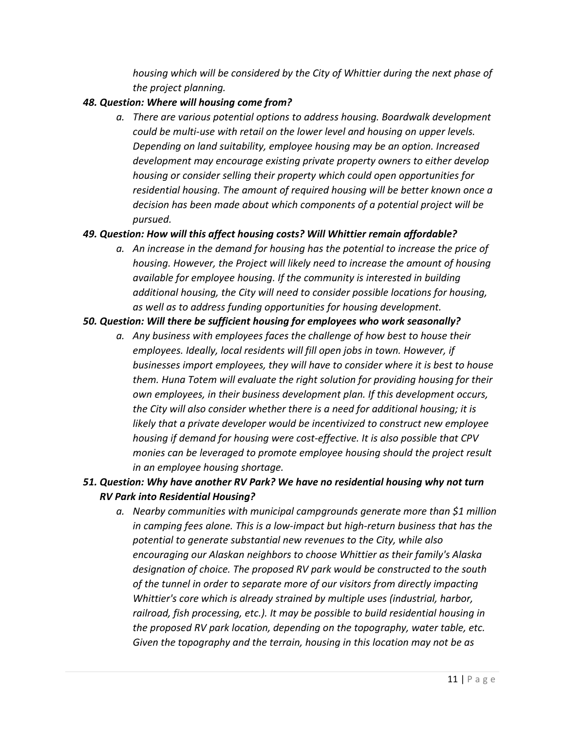*housing which will be considered by the City of Whittier during the next phase of the project planning.*

## *48. Question: Where will housing come from?*

*a. There are various potential options to address housing. Boardwalk development could be multi-use with retail on the lower level and housing on upper levels. Depending on land suitability, employee housing may be an option. Increased development may encourage existing private property owners to either develop housing or consider selling their property which could open opportunities for residential housing. The amount of required housing will be better known once a decision has been made about which components of a potential project will be pursued.*

# *49. Question: How will this affect housing costs? Will Whittier remain affordable?*

*a. An increase in the demand for housing has the potential to increase the price of housing. However, the Project will likely need to increase the amount of housing available for employee housing. If the community is interested in building additional housing, the City will need to consider possible locations for housing, as well as to address funding opportunities for housing development.*

## *50. Question: Will there be sufficient housing for employees who work seasonally?*

*a. Any business with employees faces the challenge of how best to house their employees. Ideally, local residents will fill open jobs in town. However, if businesses import employees, they will have to consider where it is best to house them. Huna Totem will evaluate the right solution for providing housing for their own employees, in their business development plan. If this development occurs, the City will also consider whether there is a need for additional housing; it is likely that a private developer would be incentivized to construct new employee housing if demand for housing were cost-effective. It is also possible that CPV monies can be leveraged to promote employee housing should the project result in an employee housing shortage.*

# *51. Question: Why have another RV Park? We have no residential housing why not turn RV Park into Residential Housing?*

*a. Nearby communities with municipal campgrounds generate more than \$1 million in camping fees alone. This is a low-impact but high-return business that has the potential to generate substantial new revenues to the City, while also encouraging our Alaskan neighbors to choose Whittier as their family's Alaska designation of choice. The proposed RV park would be constructed to the south of the tunnel in order to separate more of our visitors from directly impacting Whittier's core which is already strained by multiple uses (industrial, harbor, railroad, fish processing, etc.). It may be possible to build residential housing in the proposed RV park location, depending on the topography, water table, etc. Given the topography and the terrain, housing in this location may not be as*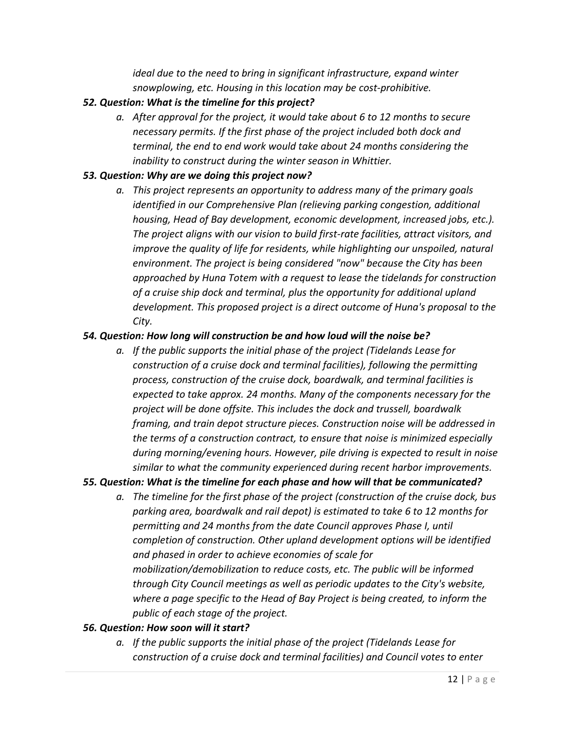*ideal due to the need to bring in significant infrastructure, expand winter snowplowing, etc. Housing in this location may be cost-prohibitive.*

## *52. Question: What is the timeline for this project?*

*a. After approval for the project, it would take about 6 to 12 months to secure necessary permits. If the first phase of the project included both dock and terminal, the end to end work would take about 24 months considering the inability to construct during the winter season in Whittier.*

### *53. Question: Why are we doing this project now?*

*a. This project represents an opportunity to address many of the primary goals identified in our Comprehensive Plan (relieving parking congestion, additional housing, Head of Bay development, economic development, increased jobs, etc.). The project aligns with our vision to build first-rate facilities, attract visitors, and improve the quality of life for residents, while highlighting our unspoiled, natural environment. The project is being considered "now" because the City has been approached by Huna Totem with a request to lease the tidelands for construction of a cruise ship dock and terminal, plus the opportunity for additional upland development. This proposed project is a direct outcome of Huna's proposal to the City.*

## *54. Question: How long will construction be and how loud will the noise be?*

*a. If the public supports the initial phase of the project (Tidelands Lease for construction of a cruise dock and terminal facilities), following the permitting process, construction of the cruise dock, boardwalk, and terminal facilities is expected to take approx. 24 months. Many of the components necessary for the project will be done offsite. This includes the dock and trussell, boardwalk framing, and train depot structure pieces. Construction noise will be addressed in the terms of a construction contract, to ensure that noise is minimized especially during morning/evening hours. However, pile driving is expected to result in noise similar to what the community experienced during recent harbor improvements.*

# *55. Question: What is the timeline for each phase and how will that be communicated?*

*a. The timeline for the first phase of the project (construction of the cruise dock, bus parking area, boardwalk and rail depot) is estimated to take 6 to 12 months for permitting and 24 months from the date Council approves Phase I, until completion of construction. Other upland development options will be identified and phased in order to achieve economies of scale for mobilization/demobilization to reduce costs, etc. The public will be informed through City Council meetings as well as periodic updates to the City's website, where a page specific to the Head of Bay Project is being created, to inform the public of each stage of the project.*

### *56. Question: How soon will it start?*

*a. If the public supports the initial phase of the project (Tidelands Lease for construction of a cruise dock and terminal facilities) and Council votes to enter*